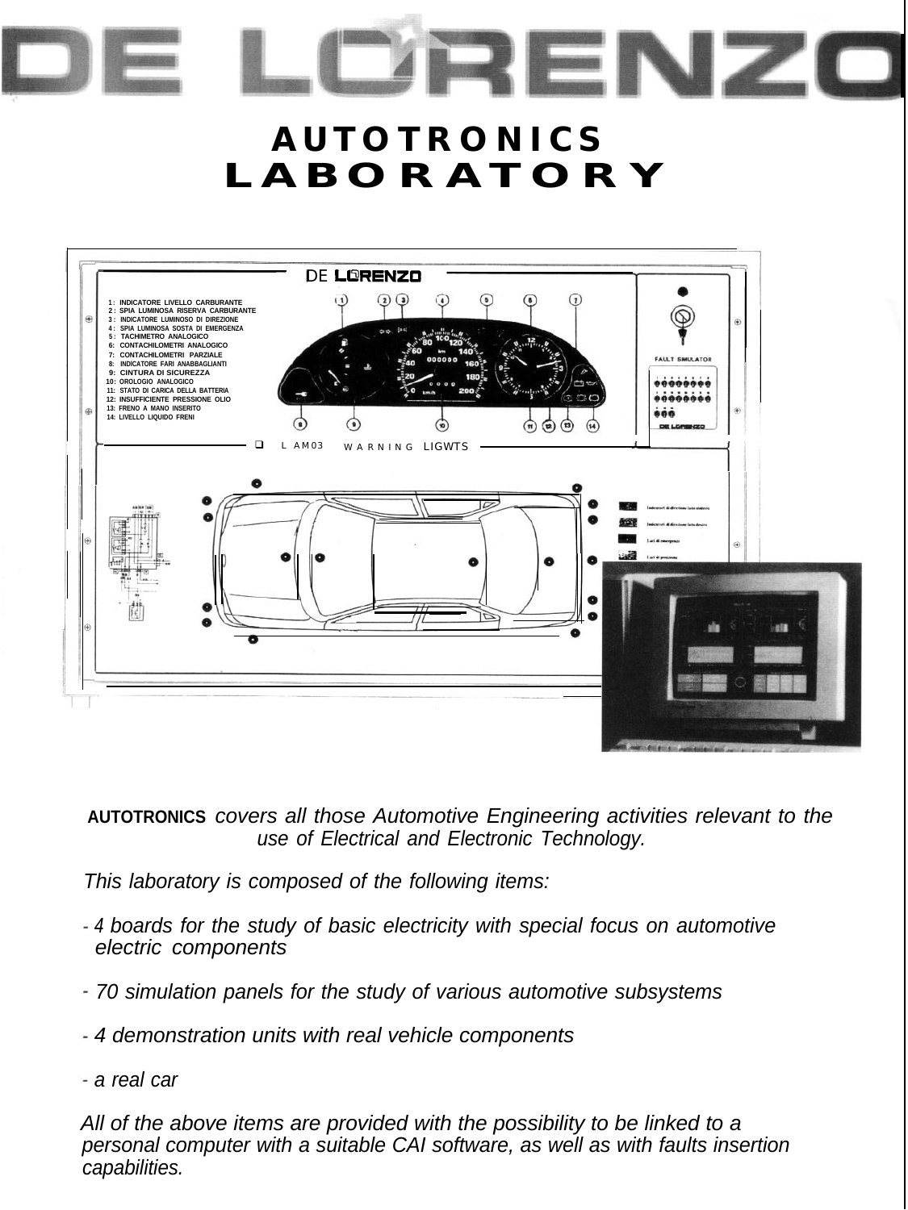## $A**UTOTRONICS**$ **LABORATORY**

RENZO



**AUTOTRONICS** *covers all those Automotive Engineering activities relevant to the use of Electrical and Electronic Technology.*

*This laboratory is composed of the following items:*

- *4 boards for the study of basic electricity with special focus on automotive electric components*
- *70 simulation panels for the study of various automotive subsystems*
- *4 demonstration units with real vehicle components*
- *a real car*

*All of the above items are provided with the possibility to be linked to a personal computer with a suitable CAI software, as well as with faults insertion capabilities.*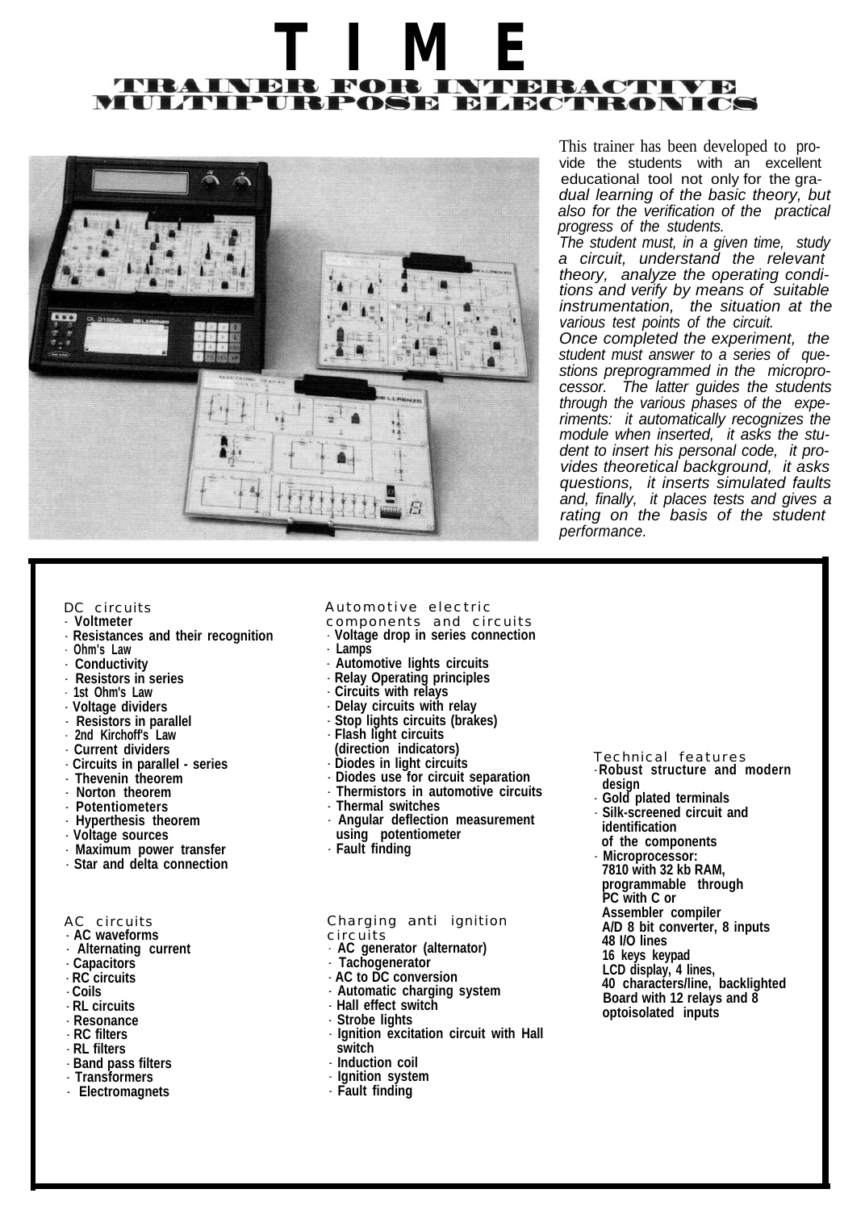# **TIME** MULTIPURPOSE ELECTRONICS



This trainer has been developed to provide the students with an excellent educational tool not only for the gra*dual learning of the basic theory, but also for the verification of the practical progress of the students.*

*The student must, in a given time, study a circuit, understand the relevant theory, analyze the operating conditions and verify by means of suitable instrumentation, the situation at the various test points of the circuit.*

*Once completed the experiment, the student must answer to a series of questions preprogrammed in the microprocessor. The latter guides the students through the various phases of the experiments: it automatically recognizes the module when inserted, it asks the student to insert his personal code, it provides theoretical background, it asks questions, it inserts simulated faults and, finally, it places tests and gives a rating on the basis of the student performance.*

#### *DC circuits*

- - **Voltmeter**
- - **Resistances and their recognition**
- - **Ohm's Law**
- - **Conductivity**
- - **Resistors in series**
- - **1st Ohm's Law**
- - **Voltage dividers**
- - **Resistors in parallel** - **2nd Kirchoff's Law**
- 
- - **Current dividers**
- - **Circuits in parallel series**
- - **Thevenin theorem**
- - **Norton theorem**
- - **Potentiometers**
- - **Hyperthesis theorem**
- - **Voltage sources**
- - **Maximum power transfer**
- - **Star and delta connection**

#### *AC circuits*

- - **AC waveforms** - **Alternating current**
- **Capacitors**
- - **RC circuits**
- - **Coils**
- - **RL circuits**
- - **Resonance**
- - **RC filters**
- - **RL filters**
- - **Band pass filters**
- - **Transformers**
- - **Electromagnets**

#### *Automotive electric*

- *components and circuits*
- - **Voltage drop in series connection**
- - **Lamps**
- - **Automotive lights circuits**
- - **Relay Operating principles**
- - **Circuits with relays**
- - **Delay circuits with relay**
- - **Stop lights circuits (brakes)**
- - **Flash light circuits**
- **(direction indicators)**
- - **Diodes in light circuits**
- 
- - **Diodes use for circuit separation**
- - **Thermistors in automotive circuits**
- - **Thermal switches** - **Angular deflection measurement**
- **using potentiometer**
- - **Fault finding**

*Charging anti ignition circuits*

- **AC generator (alternator)**

- **Tachogenerator**
- - **AC to DC conversion**
- - **Automatic charging system**
- - **Hall effect switch**
- 
- - **Ignition excitation circuit with Hall switch**
- - **Induction coil**
- - **Ignition system**
- - **Fault finding**

### *Technical features*

- **Robust structure and modern design**
- - **Gold plated terminals**
- - **Silk-screened circuit and**
- **identification**
- **of the components**
- - **Microprocessor:**
- **7810 with 32 kb RAM,**
- **programmable through**
- **PC with C or**
- **Assembler compiler**
- **A/D 8 bit converter, 8 inputs**
- **48 I/O lines**
- **16 keys keypad**
- **LCD display, 4 lines,**
- **40 characters/line, backlighted Board with 12 relays and 8 optoisolated inputs**

- **Strobe lights**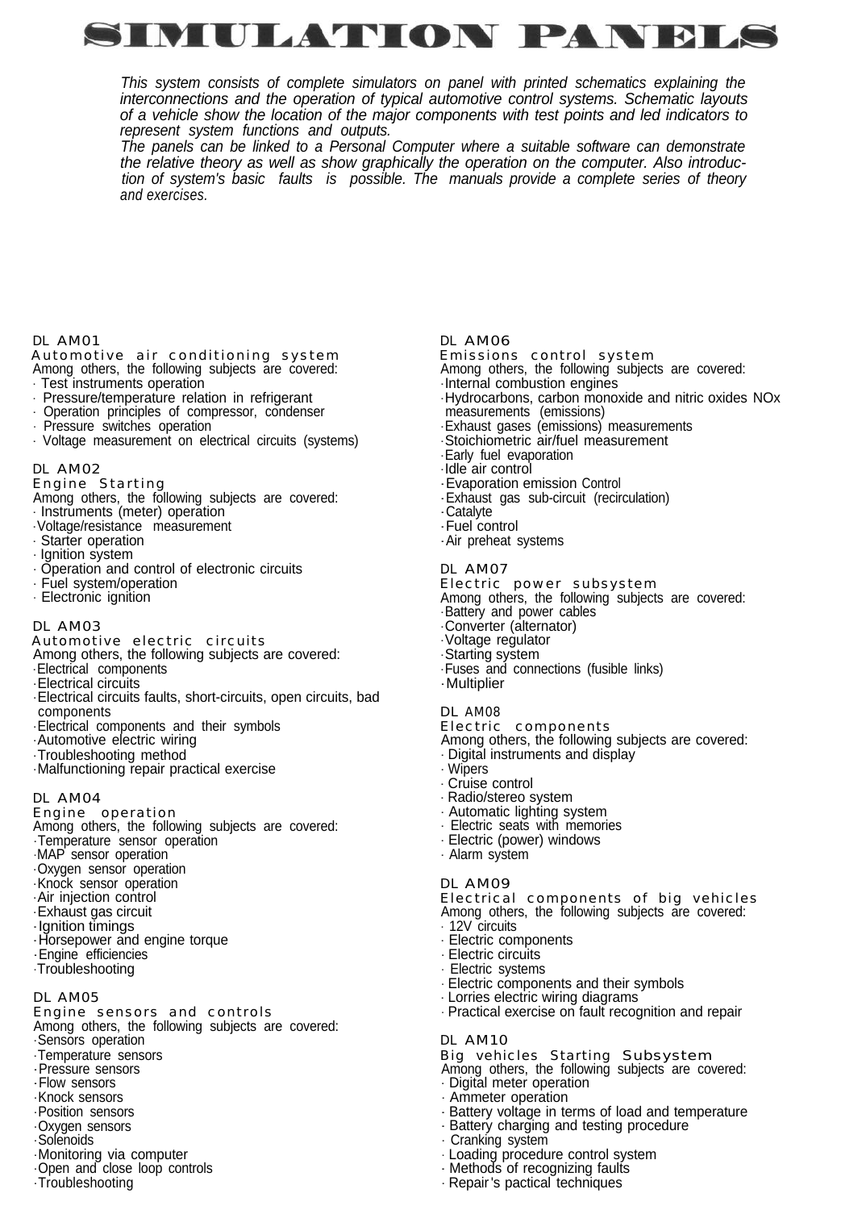

*This system consists of complete simulators on panel with printed schematics explaining the interconnections and the operation of typical automotive control systems. Schematic layouts of a vehicle show the location of the major components with test points and led indicators to represent system functions and outputs.*

*The panels can be linked to a Personal Computer where a suitable software can demonstrate the relative theory as well as show graphically the operation on the computer. Also introduction of system's basic faults is possible. The manuals provide a complete series of theory and exercises.*

#### *DL AM01*

#### *Automotive air conditioning system* Among others, the following subjects are covered:

- Test instruments operation
- Pressure/temperature relation in refrigerant
- Operation principles of compressor, condenser
- Pressure switches operation
- Voltage measurement on electrical circuits (systems)

#### *DL AM02*

- *Engine Starting* Among others, the following subjects are covered:
- Instruments (meter) operation
- Voltage/resistance measurement
- Starter operation
- Ignition system
- Operation and control of electronic circuits
- Fuel system/operation
- Electronic ignition

#### *DL AM03*

- *Automotive electric circuits*
- Among others, the following subjects are covered:
- Electrical components
- Electrical circuits
- Electrical circuits faults, short-circuits, open circuits, bad components
- Electrical components and their symbols
- Automotive electric wiring
- Troubleshooting method
- Malfunctioning repair practical exercise

#### *DL AM04*

*Engine operation*

- Among others, the following subjects are covered: - Temperature sensor operation - MAP sensor operation
- Oxygen sensor operation
- Knock sensor operation
- Air injection control
- Exhaust gas circuit
- Ignition timings
- Horsepower and engine torque - Engine efficiencies
- Troubleshooting
- 
- *DL AM05*
- *Engine sensors and controls* Among others, the following subjects are covered:
- Sensors operation
- Temperature sensors
- Pressure sensors
- Flow sensors
- Knock sensors
- Position sensors
- Oxygen sensors
- Solenoids
- Monitoring via computer
- Open and close loop controls
- Troubleshooting
- *DL AM06*
- *Emissions control system* Among others, the following subjects are covered:
- Internal combustion engines
- Hydrocarbons, carbon monoxide and nitric oxides NOx measurements (emissions)
- Exhaust gases (emissions) measurements
- Stoichiometric air/fuel measurement
- Early fuel evaporation
- Idle air control
- Evaporation emission Control
- Exhaust gas sub-circuit (recirculation)
- Catalyte
- Fuel control
- Air preheat systems

#### *DL AM07*

- *Electric power subsystem* Among others, the following subjects are covered: - Battery and power cables - Converter (alternator) - Voltage regulator
- Starting system
- Fuses and connections (fusible links)
- Multiplier
- 

#### *DL AM08*

*Electric components*

Among others, the following subjects are covered:

- Digital instruments and display
- Wipers
- Cruise control
- Radio/stereo system
- Automatic lighting system
- Electric seats with memories
- Electric (power) windows
- Alarm system

#### *DL AM09*

- *Electrical components of big vehicles* Among others, the following subjects are covered:
- 12V circuits
- Electric components
- Electric circuits
- Electric systems
- Electric components and their symbols
- Lorries electric wiring diagrams
- Practical exercise on fault recognition and repair

#### *DL AM10*

*Big vehicles Starting Subsystem*

- Among others, the following subjects are covered: - Digital meter operation
- Ammeter operation
- Battery voltage in terms of load and temperature
- Battery charging and testing procedure
- Cranking system
- Loading procedure control system - Methods of recognizing faults

- Repair 's pactical techniques